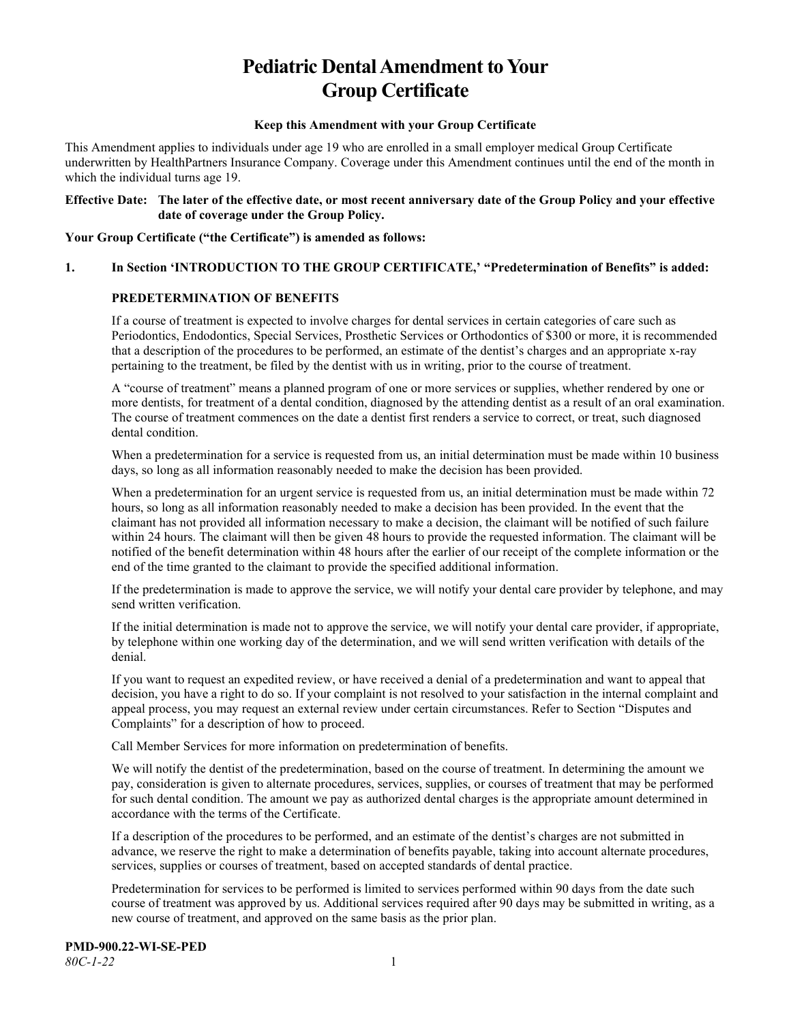# **Pediatric Dental Amendment to Your Group Certificate**

#### **Keep this Amendment with your Group Certificate**

This Amendment applies to individuals under age 19 who are enrolled in a small employer medical Group Certificate underwritten by HealthPartners Insurance Company. Coverage under this Amendment continues until the end of the month in which the individual turns age 19.

#### **Effective Date: The later of the effective date, or most recent anniversary date of the Group Policy and your effective date of coverage under the Group Policy.**

**Your Group Certificate ("the Certificate") is amended as follows:**

#### **1. In Section 'INTRODUCTION TO THE GROUP CERTIFICATE,' "Predetermination of Benefits" is added:**

### **PREDETERMINATION OF BENEFITS**

If a course of treatment is expected to involve charges for dental services in certain categories of care such as Periodontics, Endodontics, Special Services, Prosthetic Services or Orthodontics of \$300 or more, it is recommended that a description of the procedures to be performed, an estimate of the dentist's charges and an appropriate x-ray pertaining to the treatment, be filed by the dentist with us in writing, prior to the course of treatment.

A "course of treatment" means a planned program of one or more services or supplies, whether rendered by one or more dentists, for treatment of a dental condition, diagnosed by the attending dentist as a result of an oral examination. The course of treatment commences on the date a dentist first renders a service to correct, or treat, such diagnosed dental condition.

When a predetermination for a service is requested from us, an initial determination must be made within 10 business days, so long as all information reasonably needed to make the decision has been provided.

When a predetermination for an urgent service is requested from us, an initial determination must be made within 72 hours, so long as all information reasonably needed to make a decision has been provided. In the event that the claimant has not provided all information necessary to make a decision, the claimant will be notified of such failure within 24 hours. The claimant will then be given 48 hours to provide the requested information. The claimant will be notified of the benefit determination within 48 hours after the earlier of our receipt of the complete information or the end of the time granted to the claimant to provide the specified additional information.

If the predetermination is made to approve the service, we will notify your dental care provider by telephone, and may send written verification.

If the initial determination is made not to approve the service, we will notify your dental care provider, if appropriate, by telephone within one working day of the determination, and we will send written verification with details of the denial.

If you want to request an expedited review, or have received a denial of a predetermination and want to appeal that decision, you have a right to do so. If your complaint is not resolved to your satisfaction in the internal complaint and appeal process, you may request an external review under certain circumstances. Refer to Section "Disputes and Complaints" for a description of how to proceed.

Call Member Services for more information on predetermination of benefits.

We will notify the dentist of the predetermination, based on the course of treatment. In determining the amount we pay, consideration is given to alternate procedures, services, supplies, or courses of treatment that may be performed for such dental condition. The amount we pay as authorized dental charges is the appropriate amount determined in accordance with the terms of the Certificate.

If a description of the procedures to be performed, and an estimate of the dentist's charges are not submitted in advance, we reserve the right to make a determination of benefits payable, taking into account alternate procedures, services, supplies or courses of treatment, based on accepted standards of dental practice.

Predetermination for services to be performed is limited to services performed within 90 days from the date such course of treatment was approved by us. Additional services required after 90 days may be submitted in writing, as a new course of treatment, and approved on the same basis as the prior plan.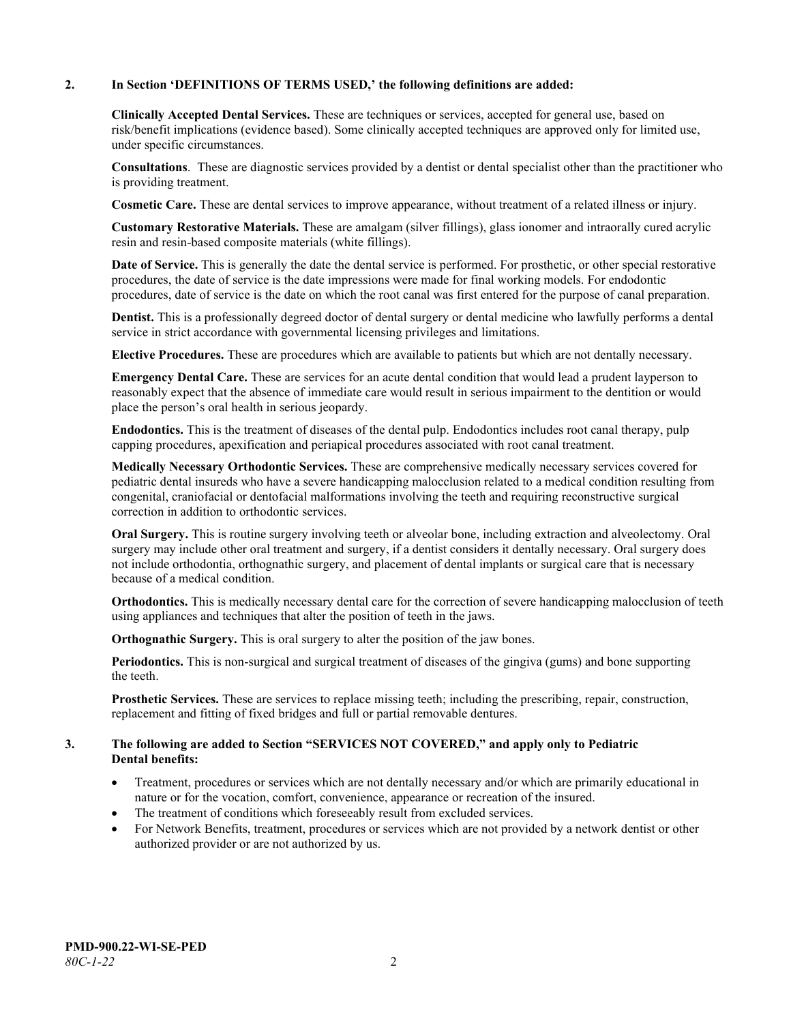#### **2. In Section 'DEFINITIONS OF TERMS USED,' the following definitions are added:**

**Clinically Accepted Dental Services.** These are techniques or services, accepted for general use, based on risk/benefit implications (evidence based). Some clinically accepted techniques are approved only for limited use, under specific circumstances.

**Consultations**. These are diagnostic services provided by a dentist or dental specialist other than the practitioner who is providing treatment.

**Cosmetic Care.** These are dental services to improve appearance, without treatment of a related illness or injury.

**Customary Restorative Materials.** These are amalgam (silver fillings), glass ionomer and intraorally cured acrylic resin and resin-based composite materials (white fillings).

**Date of Service.** This is generally the date the dental service is performed. For prosthetic, or other special restorative procedures, the date of service is the date impressions were made for final working models. For endodontic procedures, date of service is the date on which the root canal was first entered for the purpose of canal preparation.

**Dentist.** This is a professionally degreed doctor of dental surgery or dental medicine who lawfully performs a dental service in strict accordance with governmental licensing privileges and limitations.

**Elective Procedures.** These are procedures which are available to patients but which are not dentally necessary.

**Emergency Dental Care.** These are services for an acute dental condition that would lead a prudent layperson to reasonably expect that the absence of immediate care would result in serious impairment to the dentition or would place the person's oral health in serious jeopardy.

**Endodontics.** This is the treatment of diseases of the dental pulp. Endodontics includes root canal therapy, pulp capping procedures, apexification and periapical procedures associated with root canal treatment.

**Medically Necessary Orthodontic Services.** These are comprehensive medically necessary services covered for pediatric dental insureds who have a severe handicapping malocclusion related to a medical condition resulting from congenital, craniofacial or dentofacial malformations involving the teeth and requiring reconstructive surgical correction in addition to orthodontic services.

**Oral Surgery.** This is routine surgery involving teeth or alveolar bone, including extraction and alveolectomy. Oral surgery may include other oral treatment and surgery, if a dentist considers it dentally necessary. Oral surgery does not include orthodontia, orthognathic surgery, and placement of dental implants or surgical care that is necessary because of a medical condition.

**Orthodontics.** This is medically necessary dental care for the correction of severe handicapping malocclusion of teeth using appliances and techniques that alter the position of teeth in the jaws.

**Orthognathic Surgery.** This is oral surgery to alter the position of the jaw bones.

**Periodontics.** This is non-surgical and surgical treatment of diseases of the gingiva (gums) and bone supporting the teeth.

**Prosthetic Services.** These are services to replace missing teeth; including the prescribing, repair, construction, replacement and fitting of fixed bridges and full or partial removable dentures.

#### **3. The following are added to Section "SERVICES NOT COVERED," and apply only to Pediatric Dental benefits:**

- Treatment, procedures or services which are not dentally necessary and/or which are primarily educational in nature or for the vocation, comfort, convenience, appearance or recreation of the insured.
- The treatment of conditions which foreseeably result from excluded services.
- For Network Benefits, treatment, procedures or services which are not provided by a network dentist or other authorized provider or are not authorized by us.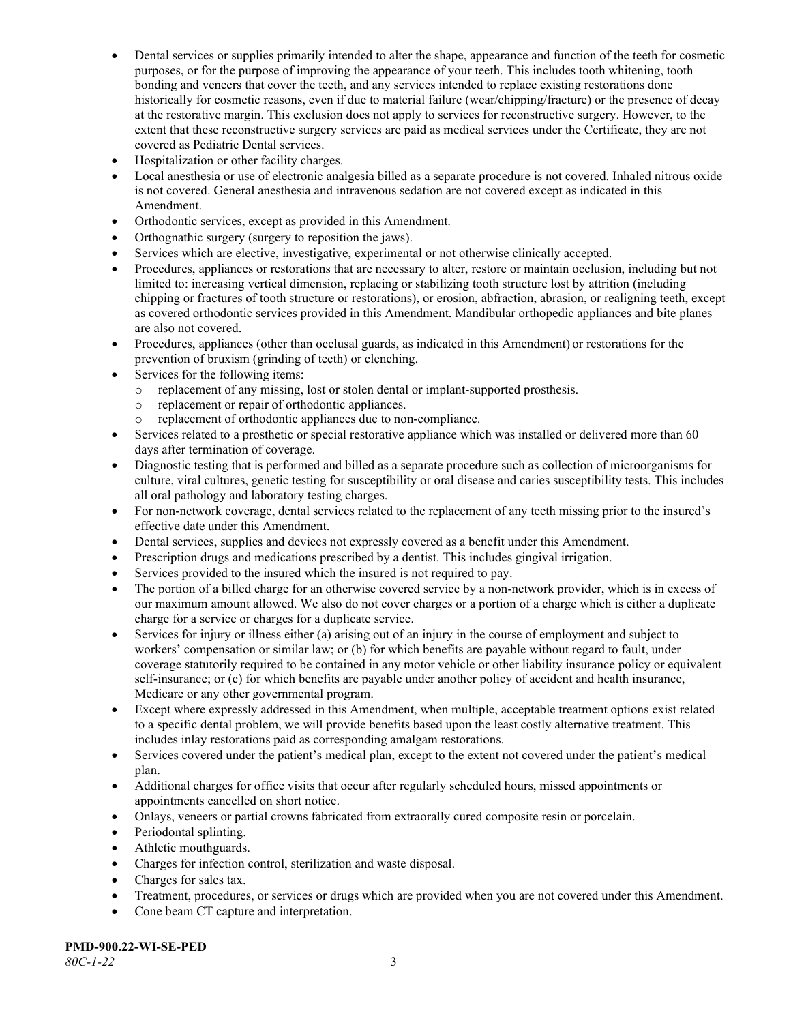- Dental services or supplies primarily intended to alter the shape, appearance and function of the teeth for cosmetic purposes, or for the purpose of improving the appearance of your teeth. This includes tooth whitening, tooth bonding and veneers that cover the teeth, and any services intended to replace existing restorations done historically for cosmetic reasons, even if due to material failure (wear/chipping/fracture) or the presence of decay at the restorative margin. This exclusion does not apply to services for reconstructive surgery. However, to the extent that these reconstructive surgery services are paid as medical services under the Certificate, they are not covered as Pediatric Dental services.
- Hospitalization or other facility charges.
- Local anesthesia or use of electronic analgesia billed as a separate procedure is not covered. Inhaled nitrous oxide is not covered. General anesthesia and intravenous sedation are not covered except as indicated in this Amendment.
- Orthodontic services, except as provided in this Amendment.
- Orthognathic surgery (surgery to reposition the jaws).
- Services which are elective, investigative, experimental or not otherwise clinically accepted.
- Procedures, appliances or restorations that are necessary to alter, restore or maintain occlusion, including but not limited to: increasing vertical dimension, replacing or stabilizing tooth structure lost by attrition (including chipping or fractures of tooth structure or restorations), or erosion, abfraction, abrasion, or realigning teeth, except as covered orthodontic services provided in this Amendment. Mandibular orthopedic appliances and bite planes are also not covered.
- Procedures, appliances (other than occlusal guards, as indicated in this Amendment) or restorations for the prevention of bruxism (grinding of teeth) or clenching.
- Services for the following items:
	- o replacement of any missing, lost or stolen dental or implant-supported prosthesis.
	- replacement or repair of orthodontic appliances.<br>○ replacement of orthodontic appliances due to not
	- replacement of orthodontic appliances due to non-compliance.
- Services related to a prosthetic or special restorative appliance which was installed or delivered more than 60 days after termination of coverage.
- Diagnostic testing that is performed and billed as a separate procedure such as collection of microorganisms for culture, viral cultures, genetic testing for susceptibility or oral disease and caries susceptibility tests. This includes all oral pathology and laboratory testing charges.
- For non-network coverage, dental services related to the replacement of any teeth missing prior to the insured's effective date under this Amendment.
- Dental services, supplies and devices not expressly covered as a benefit under this Amendment.
- Prescription drugs and medications prescribed by a dentist. This includes gingival irrigation.
- Services provided to the insured which the insured is not required to pay.
- The portion of a billed charge for an otherwise covered service by a non-network provider, which is in excess of our maximum amount allowed. We also do not cover charges or a portion of a charge which is either a duplicate charge for a service or charges for a duplicate service.
- Services for injury or illness either (a) arising out of an injury in the course of employment and subject to workers' compensation or similar law; or (b) for which benefits are payable without regard to fault, under coverage statutorily required to be contained in any motor vehicle or other liability insurance policy or equivalent self-insurance; or (c) for which benefits are payable under another policy of accident and health insurance, Medicare or any other governmental program.
- Except where expressly addressed in this Amendment, when multiple, acceptable treatment options exist related to a specific dental problem, we will provide benefits based upon the least costly alternative treatment. This includes inlay restorations paid as corresponding amalgam restorations.
- Services covered under the patient's medical plan, except to the extent not covered under the patient's medical plan.
- Additional charges for office visits that occur after regularly scheduled hours, missed appointments or appointments cancelled on short notice.
- Onlays, veneers or partial crowns fabricated from extraorally cured composite resin or porcelain.
- Periodontal splinting.
- Athletic mouthguards.
- Charges for infection control, sterilization and waste disposal.
- Charges for sales tax.
- Treatment, procedures, or services or drugs which are provided when you are not covered under this Amendment.
- Cone beam CT capture and interpretation.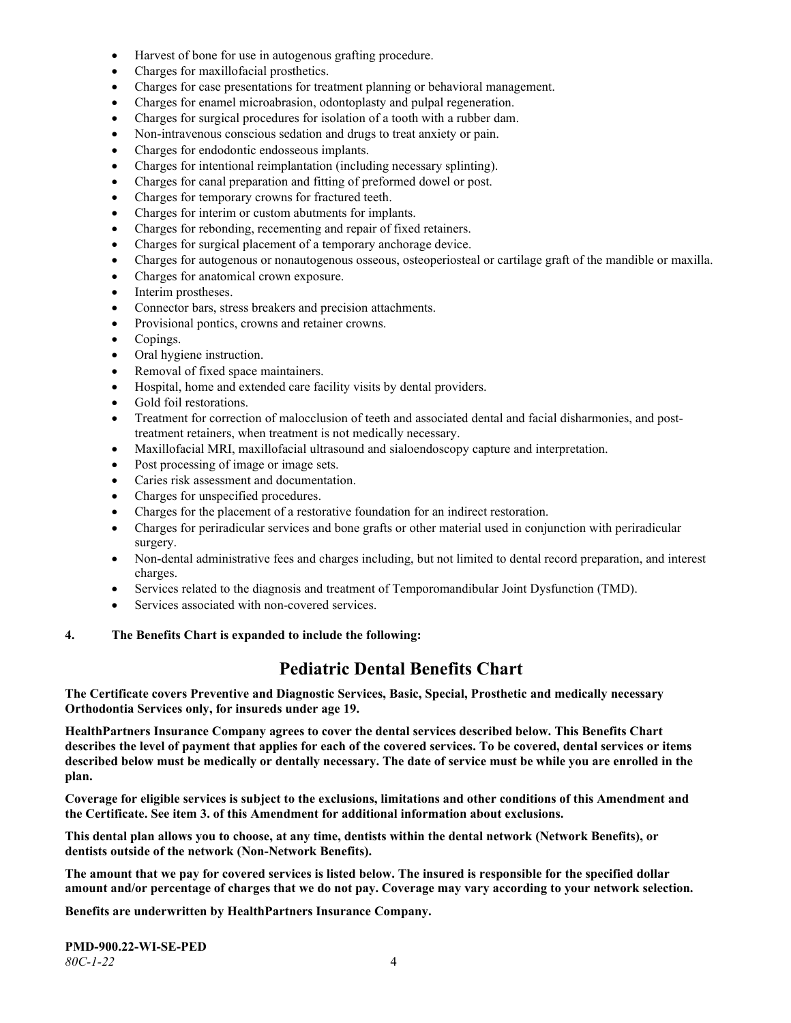- Harvest of bone for use in autogenous grafting procedure.
- Charges for maxillofacial prosthetics.
- Charges for case presentations for treatment planning or behavioral management.
- Charges for enamel microabrasion, odontoplasty and pulpal regeneration.
- Charges for surgical procedures for isolation of a tooth with a rubber dam.
- Non-intravenous conscious sedation and drugs to treat anxiety or pain.
- Charges for endodontic endosseous implants.
- Charges for intentional reimplantation (including necessary splinting).
- Charges for canal preparation and fitting of preformed dowel or post.
- Charges for temporary crowns for fractured teeth.
- Charges for interim or custom abutments for implants.
- Charges for rebonding, recementing and repair of fixed retainers.
- Charges for surgical placement of a temporary anchorage device.
- Charges for autogenous or nonautogenous osseous, osteoperiosteal or cartilage graft of the mandible or maxilla.
- Charges for anatomical crown exposure.
- Interim prostheses.
- Connector bars, stress breakers and precision attachments.
- Provisional pontics, crowns and retainer crowns.
- Copings.
- Oral hygiene instruction.
- Removal of fixed space maintainers.
- Hospital, home and extended care facility visits by dental providers.
- Gold foil restorations.
- Treatment for correction of malocclusion of teeth and associated dental and facial disharmonies, and posttreatment retainers, when treatment is not medically necessary.
- Maxillofacial MRI, maxillofacial ultrasound and sialoendoscopy capture and interpretation.
- Post processing of image or image sets.
- Caries risk assessment and documentation.
- Charges for unspecified procedures.
- Charges for the placement of a restorative foundation for an indirect restoration.
- Charges for periradicular services and bone grafts or other material used in conjunction with periradicular surgery.
- Non-dental administrative fees and charges including, but not limited to dental record preparation, and interest charges.
- Services related to the diagnosis and treatment of Temporomandibular Joint Dysfunction (TMD).
- Services associated with non-covered services.

#### **4. The Benefits Chart is expanded to include the following:**

## **Pediatric Dental Benefits Chart**

**The Certificate covers Preventive and Diagnostic Services, Basic, Special, Prosthetic and medically necessary Orthodontia Services only, for insureds under age 19.**

**HealthPartners Insurance Company agrees to cover the dental services described below. This Benefits Chart describes the level of payment that applies for each of the covered services. To be covered, dental services or items described below must be medically or dentally necessary. The date of service must be while you are enrolled in the plan.**

**Coverage for eligible services is subject to the exclusions, limitations and other conditions of this Amendment and the Certificate. See item 3. of this Amendment for additional information about exclusions.**

**This dental plan allows you to choose, at any time, dentists within the dental network (Network Benefits), or dentists outside of the network (Non-Network Benefits).**

**The amount that we pay for covered services is listed below. The insured is responsible for the specified dollar amount and/or percentage of charges that we do not pay. Coverage may vary according to your network selection.**

**Benefits are underwritten by HealthPartners Insurance Company.**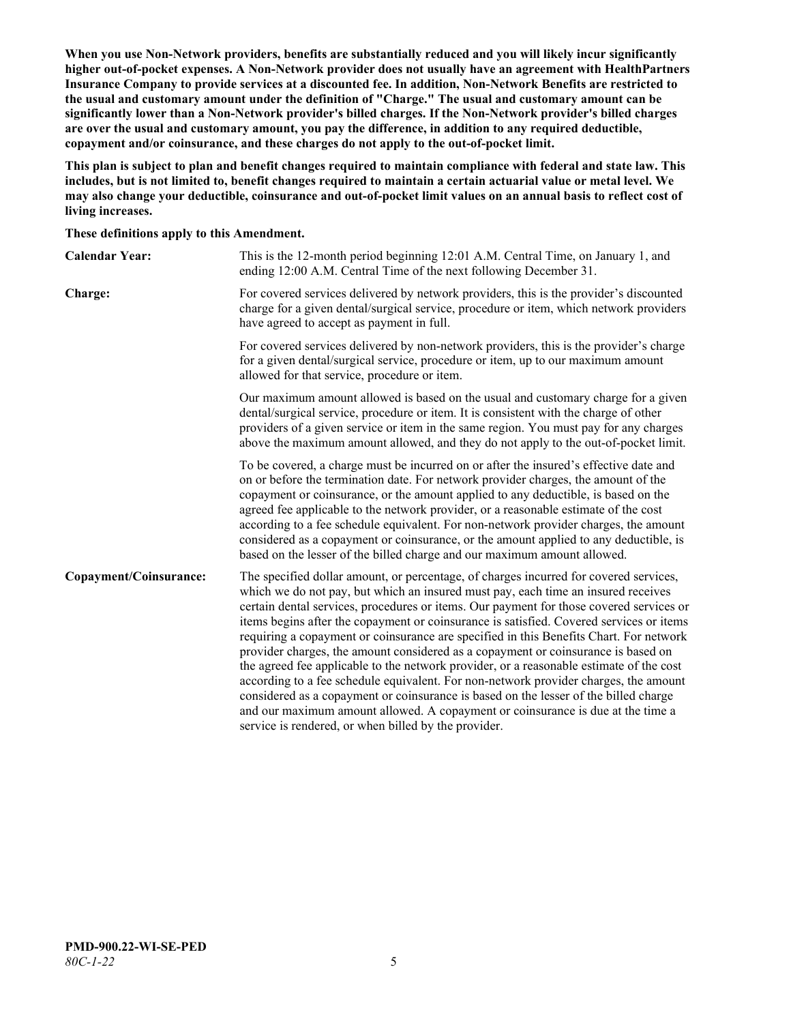**When you use Non-Network providers, benefits are substantially reduced and you will likely incur significantly higher out-of-pocket expenses. A Non-Network provider does not usually have an agreement with HealthPartners Insurance Company to provide services at a discounted fee. In addition, Non-Network Benefits are restricted to the usual and customary amount under the definition of "Charge." The usual and customary amount can be significantly lower than a Non-Network provider's billed charges. If the Non-Network provider's billed charges are over the usual and customary amount, you pay the difference, in addition to any required deductible, copayment and/or coinsurance, and these charges do not apply to the out-of-pocket limit.**

**This plan is subject to plan and benefit changes required to maintain compliance with federal and state law. This includes, but is not limited to, benefit changes required to maintain a certain actuarial value or metal level. We may also change your deductible, coinsurance and out-of-pocket limit values on an annual basis to reflect cost of living increases.**

**These definitions apply to this Amendment.**

| <b>Calendar Year:</b>  | This is the 12-month period beginning 12:01 A.M. Central Time, on January 1, and<br>ending 12:00 A.M. Central Time of the next following December 31.                                                                                                                                                                                                                                                                                                                                                                                                                                                                                                                                                                                                                                                                                                                                                                                                                 |
|------------------------|-----------------------------------------------------------------------------------------------------------------------------------------------------------------------------------------------------------------------------------------------------------------------------------------------------------------------------------------------------------------------------------------------------------------------------------------------------------------------------------------------------------------------------------------------------------------------------------------------------------------------------------------------------------------------------------------------------------------------------------------------------------------------------------------------------------------------------------------------------------------------------------------------------------------------------------------------------------------------|
| Charge:                | For covered services delivered by network providers, this is the provider's discounted<br>charge for a given dental/surgical service, procedure or item, which network providers<br>have agreed to accept as payment in full.                                                                                                                                                                                                                                                                                                                                                                                                                                                                                                                                                                                                                                                                                                                                         |
|                        | For covered services delivered by non-network providers, this is the provider's charge<br>for a given dental/surgical service, procedure or item, up to our maximum amount<br>allowed for that service, procedure or item.                                                                                                                                                                                                                                                                                                                                                                                                                                                                                                                                                                                                                                                                                                                                            |
|                        | Our maximum amount allowed is based on the usual and customary charge for a given<br>dental/surgical service, procedure or item. It is consistent with the charge of other<br>providers of a given service or item in the same region. You must pay for any charges<br>above the maximum amount allowed, and they do not apply to the out-of-pocket limit.                                                                                                                                                                                                                                                                                                                                                                                                                                                                                                                                                                                                            |
|                        | To be covered, a charge must be incurred on or after the insured's effective date and<br>on or before the termination date. For network provider charges, the amount of the<br>copayment or coinsurance, or the amount applied to any deductible, is based on the<br>agreed fee applicable to the network provider, or a reasonable estimate of the cost<br>according to a fee schedule equivalent. For non-network provider charges, the amount<br>considered as a copayment or coinsurance, or the amount applied to any deductible, is<br>based on the lesser of the billed charge and our maximum amount allowed.                                                                                                                                                                                                                                                                                                                                                 |
| Copayment/Coinsurance: | The specified dollar amount, or percentage, of charges incurred for covered services,<br>which we do not pay, but which an insured must pay, each time an insured receives<br>certain dental services, procedures or items. Our payment for those covered services or<br>items begins after the copayment or coinsurance is satisfied. Covered services or items<br>requiring a copayment or coinsurance are specified in this Benefits Chart. For network<br>provider charges, the amount considered as a copayment or coinsurance is based on<br>the agreed fee applicable to the network provider, or a reasonable estimate of the cost<br>according to a fee schedule equivalent. For non-network provider charges, the amount<br>considered as a copayment or coinsurance is based on the lesser of the billed charge<br>and our maximum amount allowed. A copayment or coinsurance is due at the time a<br>service is rendered, or when billed by the provider. |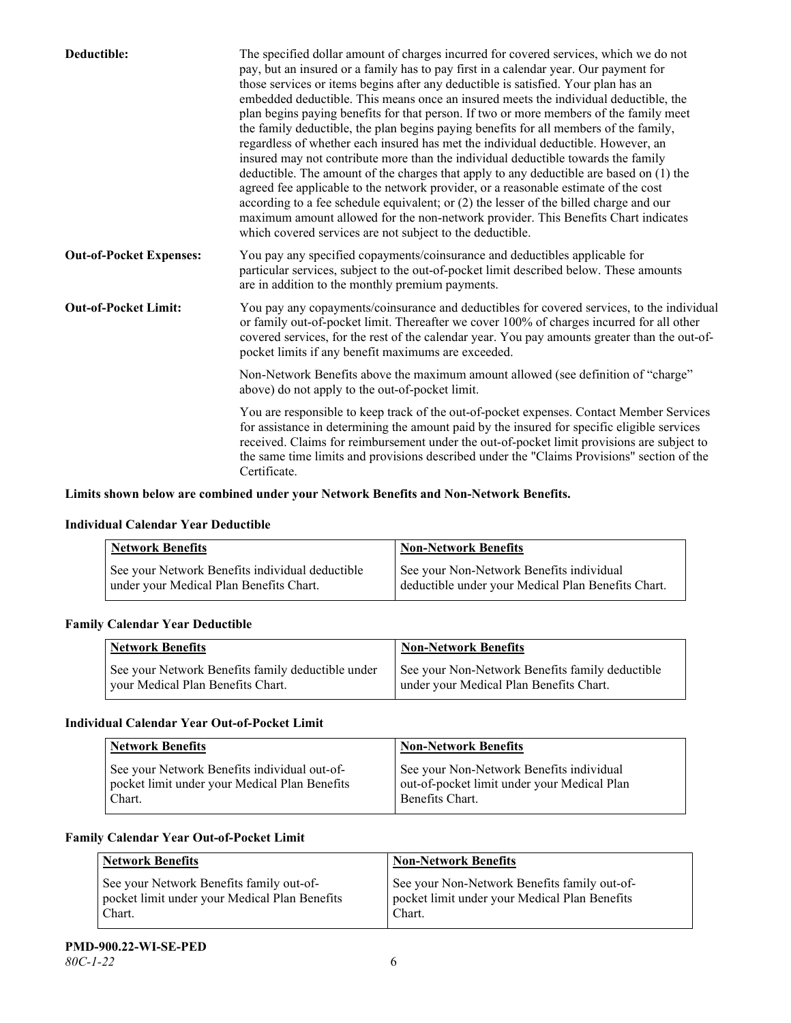| Deductible:                    | The specified dollar amount of charges incurred for covered services, which we do not<br>pay, but an insured or a family has to pay first in a calendar year. Our payment for<br>those services or items begins after any deductible is satisfied. Your plan has an<br>embedded deductible. This means once an insured meets the individual deductible, the<br>plan begins paying benefits for that person. If two or more members of the family meet<br>the family deductible, the plan begins paying benefits for all members of the family,<br>regardless of whether each insured has met the individual deductible. However, an<br>insured may not contribute more than the individual deductible towards the family<br>deductible. The amount of the charges that apply to any deductible are based on (1) the<br>agreed fee applicable to the network provider, or a reasonable estimate of the cost<br>according to a fee schedule equivalent; or (2) the lesser of the billed charge and our<br>maximum amount allowed for the non-network provider. This Benefits Chart indicates<br>which covered services are not subject to the deductible. |
|--------------------------------|---------------------------------------------------------------------------------------------------------------------------------------------------------------------------------------------------------------------------------------------------------------------------------------------------------------------------------------------------------------------------------------------------------------------------------------------------------------------------------------------------------------------------------------------------------------------------------------------------------------------------------------------------------------------------------------------------------------------------------------------------------------------------------------------------------------------------------------------------------------------------------------------------------------------------------------------------------------------------------------------------------------------------------------------------------------------------------------------------------------------------------------------------------|
| <b>Out-of-Pocket Expenses:</b> | You pay any specified copayments/coinsurance and deductibles applicable for<br>particular services, subject to the out-of-pocket limit described below. These amounts<br>are in addition to the monthly premium payments.                                                                                                                                                                                                                                                                                                                                                                                                                                                                                                                                                                                                                                                                                                                                                                                                                                                                                                                               |
| <b>Out-of-Pocket Limit:</b>    | You pay any copayments/coinsurance and deductibles for covered services, to the individual<br>or family out-of-pocket limit. Thereafter we cover 100% of charges incurred for all other<br>covered services, for the rest of the calendar year. You pay amounts greater than the out-of-<br>pocket limits if any benefit maximums are exceeded.                                                                                                                                                                                                                                                                                                                                                                                                                                                                                                                                                                                                                                                                                                                                                                                                         |
|                                | Non-Network Benefits above the maximum amount allowed (see definition of "charge"<br>above) do not apply to the out-of-pocket limit.                                                                                                                                                                                                                                                                                                                                                                                                                                                                                                                                                                                                                                                                                                                                                                                                                                                                                                                                                                                                                    |
|                                | You are responsible to keep track of the out-of-pocket expenses. Contact Member Services<br>for assistance in determining the amount paid by the insured for specific eligible services<br>received. Claims for reimbursement under the out-of-pocket limit provisions are subject to<br>the same time limits and provisions described under the "Claims Provisions" section of the<br>Certificate.                                                                                                                                                                                                                                                                                                                                                                                                                                                                                                                                                                                                                                                                                                                                                     |

## **Limits shown below are combined under your Network Benefits and Non-Network Benefits.**

#### **Individual Calendar Year Deductible**

| <b>Network Benefits</b>                         | <b>Non-Network Benefits</b>                        |
|-------------------------------------------------|----------------------------------------------------|
| See your Network Benefits individual deductible | See your Non-Network Benefits individual           |
| under your Medical Plan Benefits Chart.         | deductible under your Medical Plan Benefits Chart. |

#### **Family Calendar Year Deductible**

| Network Benefits                                                                       | <b>Non-Network Benefits</b>                                                                |
|----------------------------------------------------------------------------------------|--------------------------------------------------------------------------------------------|
| See your Network Benefits family deductible under<br>vour Medical Plan Benefits Chart. | See your Non-Network Benefits family deductible<br>under your Medical Plan Benefits Chart. |

## **Individual Calendar Year Out-of-Pocket Limit**

| <b>Network Benefits</b>                                                                                 | <b>Non-Network Benefits</b>                                                                                |
|---------------------------------------------------------------------------------------------------------|------------------------------------------------------------------------------------------------------------|
| See your Network Benefits individual out-of-<br>pocket limit under your Medical Plan Benefits<br>Chart. | See your Non-Network Benefits individual<br>out-of-pocket limit under your Medical Plan<br>Benefits Chart. |

### **Family Calendar Year Out-of-Pocket Limit**

| <b>Network Benefits</b>                                                                             | <b>Non-Network Benefits</b>                                                                             |
|-----------------------------------------------------------------------------------------------------|---------------------------------------------------------------------------------------------------------|
| See your Network Benefits family out-of-<br>pocket limit under your Medical Plan Benefits<br>Chart. | See your Non-Network Benefits family out-of-<br>pocket limit under your Medical Plan Benefits<br>Chart. |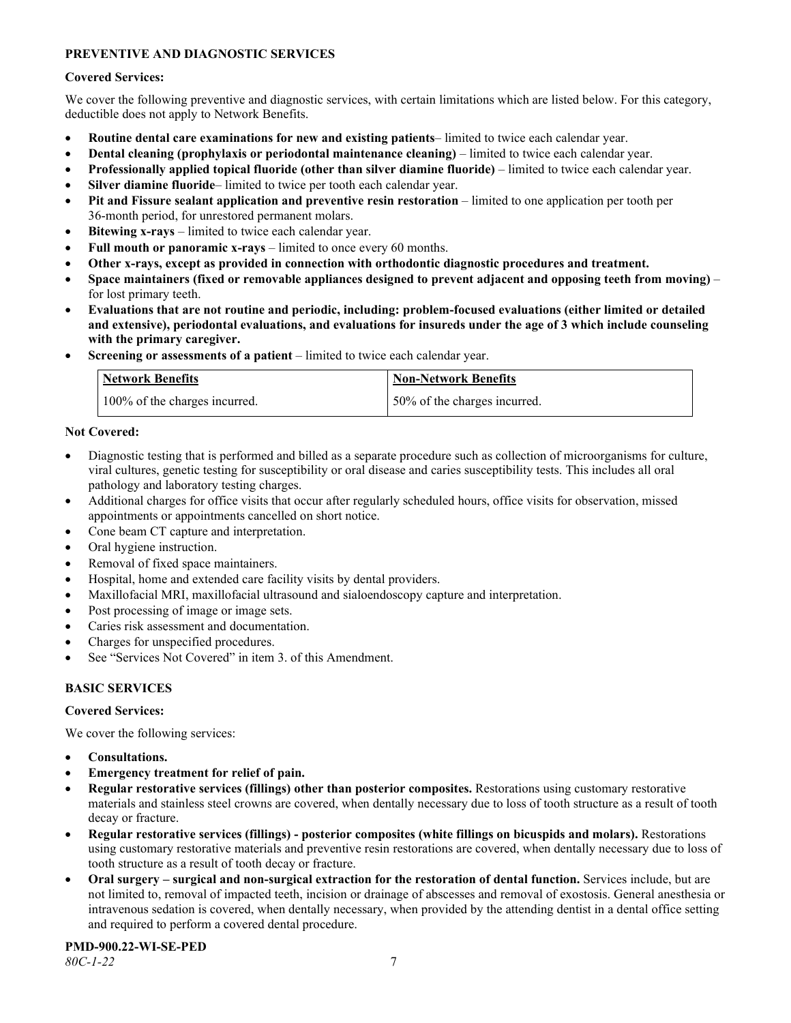## **PREVENTIVE AND DIAGNOSTIC SERVICES**

#### **Covered Services:**

We cover the following preventive and diagnostic services, with certain limitations which are listed below. For this category, deductible does not apply to Network Benefits.

- **Routine dental care examinations for new and existing patients** limited to twice each calendar year.
- **Dental cleaning (prophylaxis or periodontal maintenance cleaning)** limited to twice each calendar year.
- **Professionally applied topical fluoride (other than silver diamine fluoride)** limited to twice each calendar year.
- **Silver diamine fluoride** limited to twice per tooth each calendar year.
- **Pit and Fissure sealant application and preventive resin restoration** limited to one application per tooth per 36-month period, for unrestored permanent molars.
- **Bitewing x-rays** limited to twice each calendar year.
- **Full mouth or panoramic x-rays** limited to once every 60 months.
- **Other x-rays, except as provided in connection with orthodontic diagnostic procedures and treatment.**
- **Space maintainers (fixed or removable appliances designed to prevent adjacent and opposing teeth from moving)** for lost primary teeth.
- **Evaluations that are not routine and periodic, including: problem-focused evaluations (either limited or detailed and extensive), periodontal evaluations, and evaluations for insureds under the age of 3 which include counseling with the primary caregiver.**
- **Screening or assessments of a patient** limited to twice each calendar year.

| Network Benefits              | <b>Non-Network Benefits</b>  |
|-------------------------------|------------------------------|
| 100% of the charges incurred. | 50% of the charges incurred. |

### **Not Covered:**

- Diagnostic testing that is performed and billed as a separate procedure such as collection of microorganisms for culture, viral cultures, genetic testing for susceptibility or oral disease and caries susceptibility tests. This includes all oral pathology and laboratory testing charges.
- Additional charges for office visits that occur after regularly scheduled hours, office visits for observation, missed appointments or appointments cancelled on short notice.
- Cone beam CT capture and interpretation.
- Oral hygiene instruction.
- Removal of fixed space maintainers.
- Hospital, home and extended care facility visits by dental providers.
- Maxillofacial MRI, maxillofacial ultrasound and sialoendoscopy capture and interpretation.
- Post processing of image or image sets.
- Caries risk assessment and documentation.
- Charges for unspecified procedures.
- See "Services Not Covered" in item 3. of this Amendment.

## **BASIC SERVICES**

#### **Covered Services:**

We cover the following services:

- **Consultations.**
- **Emergency treatment for relief of pain.**
- **Regular restorative services (fillings) other than posterior composites.** Restorations using customary restorative materials and stainless steel crowns are covered, when dentally necessary due to loss of tooth structure as a result of tooth decay or fracture.
- **Regular restorative services (fillings) - posterior composites (white fillings on bicuspids and molars).** Restorations using customary restorative materials and preventive resin restorations are covered, when dentally necessary due to loss of tooth structure as a result of tooth decay or fracture.
- **Oral surgery – surgical and non-surgical extraction for the restoration of dental function.** Services include, but are not limited to, removal of impacted teeth, incision or drainage of abscesses and removal of exostosis. General anesthesia or intravenous sedation is covered, when dentally necessary, when provided by the attending dentist in a dental office setting and required to perform a covered dental procedure.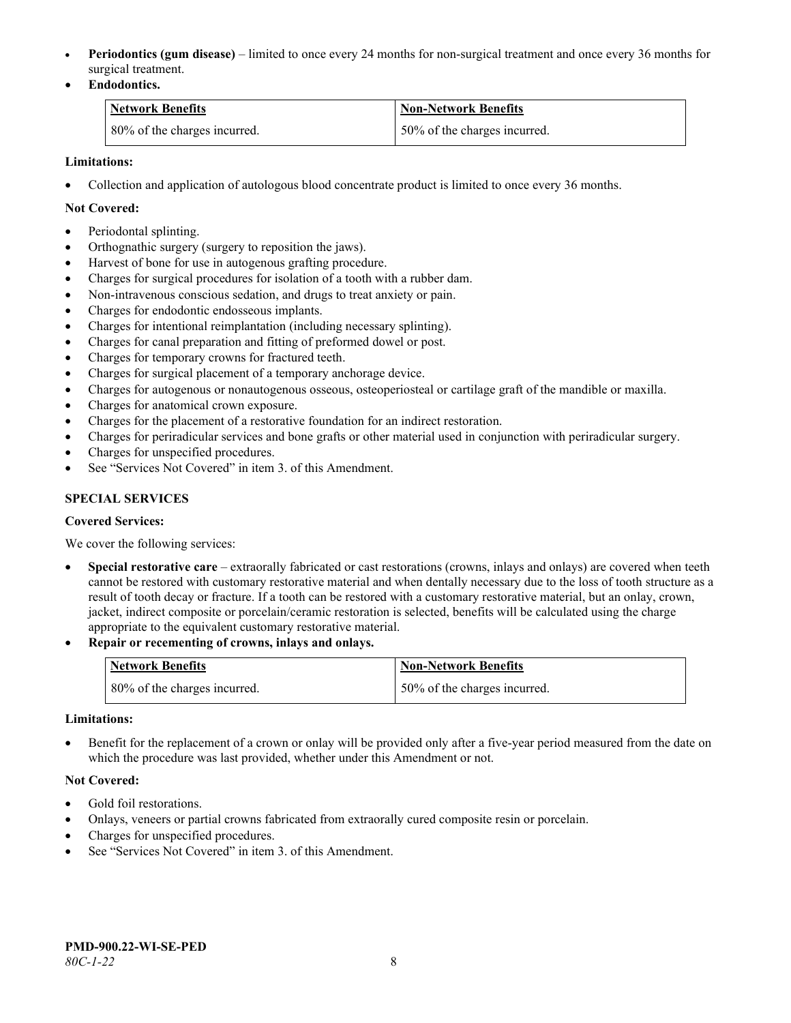- **Periodontics (gum disease)** limited to once every 24 months for non-surgical treatment and once every 36 months for surgical treatment.
- **Endodontics.**

| Network Benefits             | <b>Non-Network Benefits</b>  |
|------------------------------|------------------------------|
| 80% of the charges incurred. | 50% of the charges incurred. |

## **Limitations:**

• Collection and application of autologous blood concentrate product is limited to once every 36 months.

### **Not Covered:**

- Periodontal splinting.
- Orthognathic surgery (surgery to reposition the jaws).
- Harvest of bone for use in autogenous grafting procedure.
- Charges for surgical procedures for isolation of a tooth with a rubber dam.
- Non-intravenous conscious sedation, and drugs to treat anxiety or pain.
- Charges for endodontic endosseous implants.
- Charges for intentional reimplantation (including necessary splinting).
- Charges for canal preparation and fitting of preformed dowel or post.
- Charges for temporary crowns for fractured teeth.
- Charges for surgical placement of a temporary anchorage device.
- Charges for autogenous or nonautogenous osseous, osteoperiosteal or cartilage graft of the mandible or maxilla.
- Charges for anatomical crown exposure.
- Charges for the placement of a restorative foundation for an indirect restoration.
- Charges for periradicular services and bone grafts or other material used in conjunction with periradicular surgery.
- Charges for unspecified procedures.
- See "Services Not Covered" in item 3. of this Amendment.

## **SPECIAL SERVICES**

#### **Covered Services:**

We cover the following services:

- **Special restorative care** extraorally fabricated or cast restorations (crowns, inlays and onlays) are covered when teeth cannot be restored with customary restorative material and when dentally necessary due to the loss of tooth structure as a result of tooth decay or fracture. If a tooth can be restored with a customary restorative material, but an onlay, crown, jacket, indirect composite or porcelain/ceramic restoration is selected, benefits will be calculated using the charge appropriate to the equivalent customary restorative material.
- **Repair or recementing of crowns, inlays and onlays.**

| <b>Network Benefits</b>      | <b>Non-Network Benefits</b>  |
|------------------------------|------------------------------|
| 80% of the charges incurred. | 50% of the charges incurred. |

#### **Limitations:**

• Benefit for the replacement of a crown or onlay will be provided only after a five-year period measured from the date on which the procedure was last provided, whether under this Amendment or not.

#### **Not Covered:**

- Gold foil restorations.
- Onlays, veneers or partial crowns fabricated from extraorally cured composite resin or porcelain.
- Charges for unspecified procedures.
- See "Services Not Covered" in item 3. of this Amendment.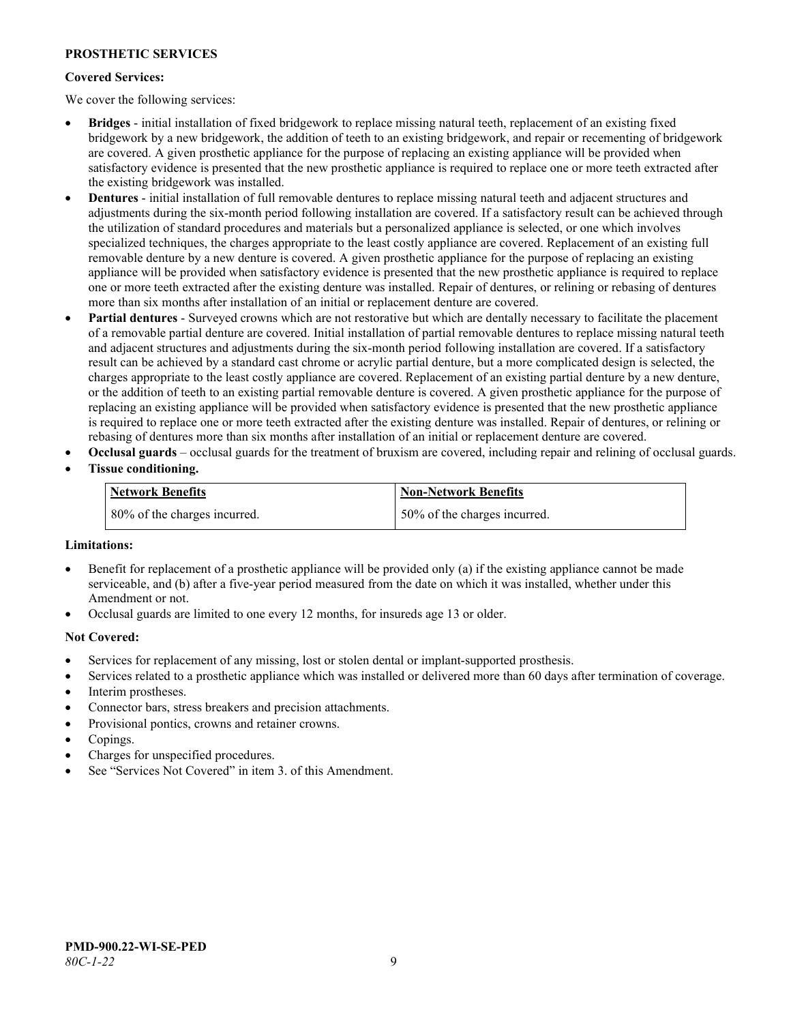## **PROSTHETIC SERVICES**

#### **Covered Services:**

We cover the following services:

- **Bridges** initial installation of fixed bridgework to replace missing natural teeth, replacement of an existing fixed bridgework by a new bridgework, the addition of teeth to an existing bridgework, and repair or recementing of bridgework are covered. A given prosthetic appliance for the purpose of replacing an existing appliance will be provided when satisfactory evidence is presented that the new prosthetic appliance is required to replace one or more teeth extracted after the existing bridgework was installed.
- **Dentures** initial installation of full removable dentures to replace missing natural teeth and adjacent structures and adjustments during the six-month period following installation are covered. If a satisfactory result can be achieved through the utilization of standard procedures and materials but a personalized appliance is selected, or one which involves specialized techniques, the charges appropriate to the least costly appliance are covered. Replacement of an existing full removable denture by a new denture is covered. A given prosthetic appliance for the purpose of replacing an existing appliance will be provided when satisfactory evidence is presented that the new prosthetic appliance is required to replace one or more teeth extracted after the existing denture was installed. Repair of dentures, or relining or rebasing of dentures more than six months after installation of an initial or replacement denture are covered.
- **Partial dentures** Surveyed crowns which are not restorative but which are dentally necessary to facilitate the placement of a removable partial denture are covered. Initial installation of partial removable dentures to replace missing natural teeth and adjacent structures and adjustments during the six-month period following installation are covered. If a satisfactory result can be achieved by a standard cast chrome or acrylic partial denture, but a more complicated design is selected, the charges appropriate to the least costly appliance are covered. Replacement of an existing partial denture by a new denture, or the addition of teeth to an existing partial removable denture is covered. A given prosthetic appliance for the purpose of replacing an existing appliance will be provided when satisfactory evidence is presented that the new prosthetic appliance is required to replace one or more teeth extracted after the existing denture was installed. Repair of dentures, or relining or rebasing of dentures more than six months after installation of an initial or replacement denture are covered.
- **Occlusal guards** occlusal guards for the treatment of bruxism are covered, including repair and relining of occlusal guards.
- **Tissue conditioning.**

| Network Benefits             | <b>Non-Network Benefits</b>  |
|------------------------------|------------------------------|
| 80% of the charges incurred. | 50% of the charges incurred. |

#### **Limitations:**

- Benefit for replacement of a prosthetic appliance will be provided only (a) if the existing appliance cannot be made serviceable, and (b) after a five-year period measured from the date on which it was installed, whether under this Amendment or not.
- Occlusal guards are limited to one every 12 months, for insureds age 13 or older.

#### **Not Covered:**

- Services for replacement of any missing, lost or stolen dental or implant-supported prosthesis.
- Services related to a prosthetic appliance which was installed or delivered more than 60 days after termination of coverage. Interim prostheses.
- Connector bars, stress breakers and precision attachments.
- Provisional pontics, crowns and retainer crowns.
- Copings.
- Charges for unspecified procedures.
- See "Services Not Covered" in item 3. of this Amendment.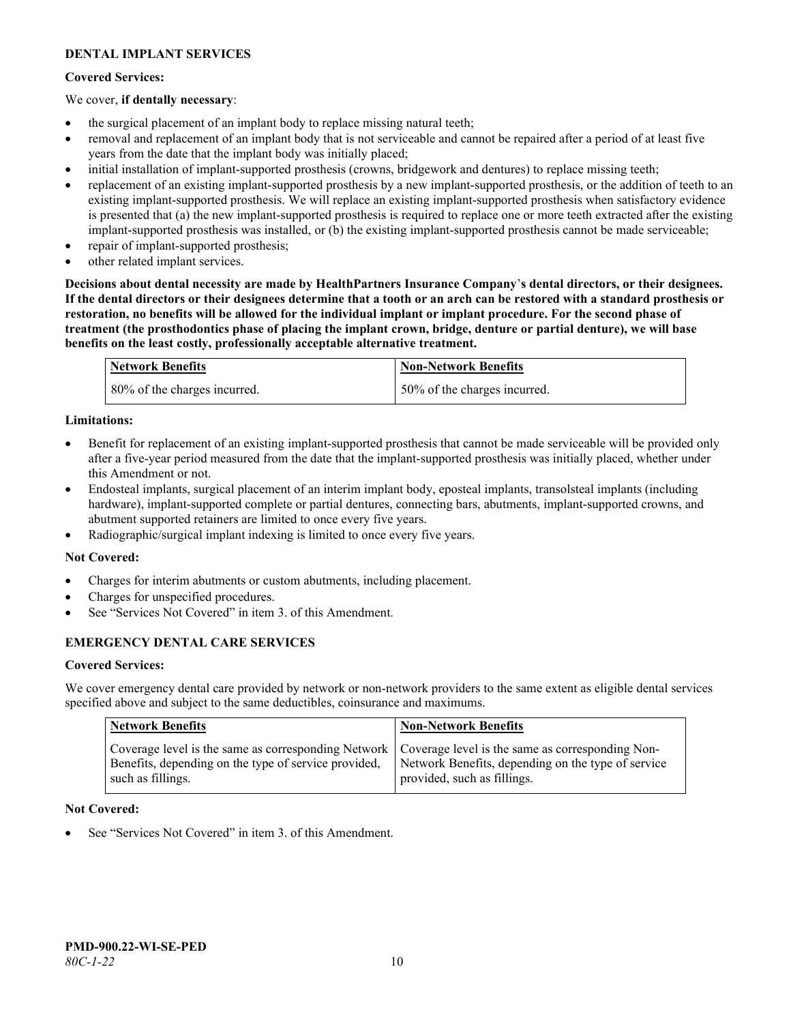## **DENTAL IMPLANT SERVICES**

### **Covered Services:**

#### We cover, **if dentally necessary**:

- the surgical placement of an implant body to replace missing natural teeth;
- removal and replacement of an implant body that is not serviceable and cannot be repaired after a period of at least five years from the date that the implant body was initially placed;
- initial installation of implant-supported prosthesis (crowns, bridgework and dentures) to replace missing teeth;
- replacement of an existing implant-supported prosthesis by a new implant-supported prosthesis, or the addition of teeth to an existing implant-supported prosthesis. We will replace an existing implant-supported prosthesis when satisfactory evidence is presented that (a) the new implant-supported prosthesis is required to replace one or more teeth extracted after the existing implant-supported prosthesis was installed, or (b) the existing implant-supported prosthesis cannot be made serviceable;
- repair of implant-supported prosthesis;
- other related implant services.

**Decisions about dental necessity are made by HealthPartners Insurance Company**'**s dental directors, or their designees. If the dental directors or their designees determine that a tooth or an arch can be restored with a standard prosthesis or restoration, no benefits will be allowed for the individual implant or implant procedure. For the second phase of treatment (the prosthodontics phase of placing the implant crown, bridge, denture or partial denture), we will base benefits on the least costly, professionally acceptable alternative treatment.**

| Network Benefits             | <b>Non-Network Benefits</b>  |
|------------------------------|------------------------------|
| 80% of the charges incurred. | 50% of the charges incurred. |

### **Limitations:**

- Benefit for replacement of an existing implant-supported prosthesis that cannot be made serviceable will be provided only after a five-year period measured from the date that the implant-supported prosthesis was initially placed, whether under this Amendment or not.
- Endosteal implants, surgical placement of an interim implant body, eposteal implants, transolsteal implants (including hardware), implant-supported complete or partial dentures, connecting bars, abutments, implant-supported crowns, and abutment supported retainers are limited to once every five years.
- Radiographic/surgical implant indexing is limited to once every five years.

#### **Not Covered:**

- Charges for interim abutments or custom abutments, including placement.
- Charges for unspecified procedures.
- See "Services Not Covered" in item 3. of this Amendment.

## **EMERGENCY DENTAL CARE SERVICES**

#### **Covered Services:**

We cover emergency dental care provided by network or non-network providers to the same extent as eligible dental services specified above and subject to the same deductibles, coinsurance and maximums.

| <b>Network Benefits</b>                                                                                                                                                             | <b>Non-Network Benefits</b>                                                       |
|-------------------------------------------------------------------------------------------------------------------------------------------------------------------------------------|-----------------------------------------------------------------------------------|
| Coverage level is the same as corresponding Network   Coverage level is the same as corresponding Non-<br>Benefits, depending on the type of service provided,<br>such as fillings. | Network Benefits, depending on the type of service<br>provided, such as fillings. |

#### **Not Covered:**

See "Services Not Covered" in item 3. of this Amendment.